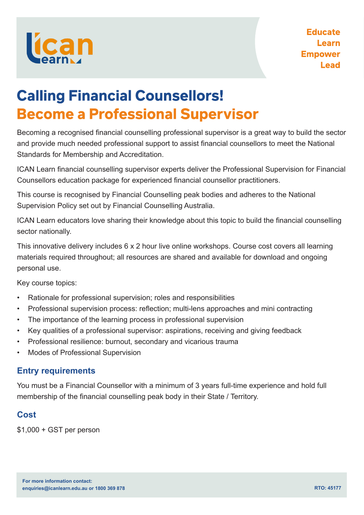

# **Calling Financial Counsellors! Become a Professional Supervisor**

Becoming a recognised financial counselling professional supervisor is a great way to build the sector and provide much needed professional support to assist financial counsellors to meet the National Standards for Membership and Accreditation.

ICAN Learn financial counselling supervisor experts deliver the Professional Supervision for Financial Counsellors education package for experienced financial counsellor practitioners.

This course is recognised by Financial Counselling peak bodies and adheres to the National Supervision Policy set out by Financial Counselling Australia.

ICAN Learn educators love sharing their knowledge about this topic to build the financial counselling sector nationally.

This innovative delivery includes 6 x 2 hour live online workshops. Course cost covers all learning materials required throughout; all resources are shared and available for download and ongoing personal use.

Key course topics:

- Rationale for professional supervision; roles and responsibilities
- Professional supervision process: reflection; multi-lens approaches and mini contracting
- The importance of the learning process in professional supervision
- Key qualities of a professional supervisor: aspirations, receiving and giving feedback
- Professional resilience: burnout, secondary and vicarious trauma
- Modes of Professional Supervision

#### **Entry requirements**

You must be a Financial Counsellor with a minimum of 3 years full-time experience and hold full membership of the financial counselling peak body in their State / Territory.

### **Cost**

\$1,000 + GST per person